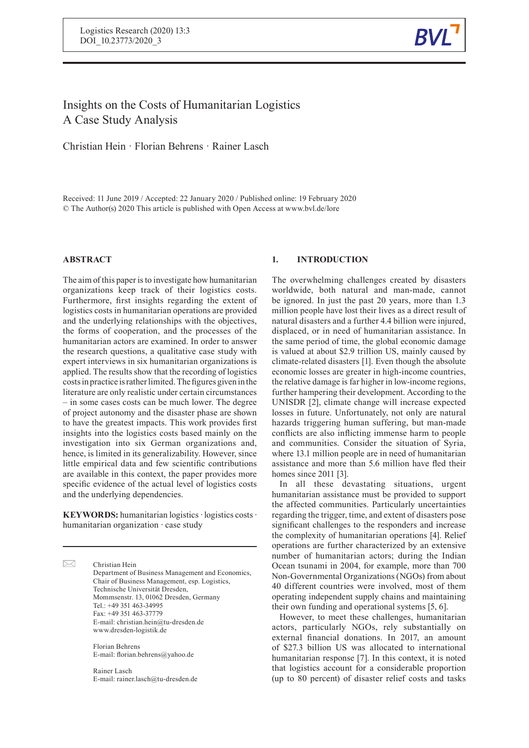

# Insights on the Costs of Humanitarian Logistics A Case Study Analysis

Christian Hein · Florian Behrens · Rainer Lasch

Received: 11 June 2019 / Accepted: 22 January 2020 / Published online: 19 February 2020 © The Author(s) 2020 This article is published with Open Access at www.bvl.de/lore

# **ABSTRACT**

The aim of this paper isto investigate how humanitarian organizations keep track of their logistics costs. Furthermore, first insights regarding the extent of logistics costs in humanitarian operations are provided and the underlying relationships with the objectives, the forms of cooperation, and the processes of the humanitarian actors are examined. In order to answer the research questions, a qualitative case study with expert interviews in six humanitarian organizations is applied. The results show that the recording of logistics costs in practice is rather limited. The figures given in the literature are only realistic under certain circumstances – in some cases costs can be much lower. The degree of project autonomy and the disaster phase are shown to have the greatest impacts. This work provides first insights into the logistics costs based mainly on the investigation into six German organizations and, hence, is limited in its generalizability. However, since little empirical data and few scientific contributions are available in this context, the paper provides more specific evidence of the actual level of logistics costs and the underlying dependencies.

**KEYWORDS:** humanitarian logistics*·* logistics costs*·* humanitarian organization *·* case study

 $\boxtimes$ Christian Hein Department of Business Management and Economics, Chair of Business Management, esp. Logistics, Technische Universität Dresden, Mommsenstr. 13, 01062 Dresden, Germany Tel.: +49 351 463-34995 Fax: +49 351 463-37779 E-mail: christian.hein@tu-dresden.de www.dresden-logistik.de

> Florian Behrens E-mail: florian.behrens@yahoo.de

Rainer Lasch E-mail: rainer.lasch@tu-dresden.de

# **1. INTRODUCTION**

The overwhelming challenges created by disasters worldwide, both natural and man-made, cannot be ignored. In just the past 20 years, more than 1.3 million people have lost their lives as a direct result of natural disasters and a further 4.4 billion were injured, displaced, or in need of humanitarian assistance. In the same period of time, the global economic damage is valued at about \$2.9 trillion US, mainly caused by climate-related disasters [1]. Even though the absolute economic losses are greater in high-income countries, the relative damage is far higher in low-income regions, further hampering their development. According to the UNISDR [2], climate change will increase expected losses in future. Unfortunately, not only are natural hazards triggering human suffering, but man-made conflicts are also inflicting immense harm to people and communities. Consider the situation of Syria, where 13.1 million people are in need of humanitarian assistance and more than 5.6 million have fled their homes since 2011 [3].

In all these devastating situations, urgent humanitarian assistance must be provided to support the affected communities. Particularly uncertainties regarding the trigger, time, and extent of disasters pose significant challenges to the responders and increase the complexity of humanitarian operations [4]. Relief operations are further characterized by an extensive number of humanitarian actors; during the Indian Ocean tsunami in 2004, for example, more than 700 Non-Governmental Organizations (NGOs) from about 40 different countries were involved, most of them operating independent supply chains and maintaining their own funding and operational systems [5, 6].

However, to meet these challenges, humanitarian actors, particularly NGOs, rely substantially on external financial donations. In 2017, an amount of \$27.3 billion US was allocated to international humanitarian response [7]. In this context, it is noted that logistics account for a considerable proportion (up to 80 percent) of disaster relief costs and tasks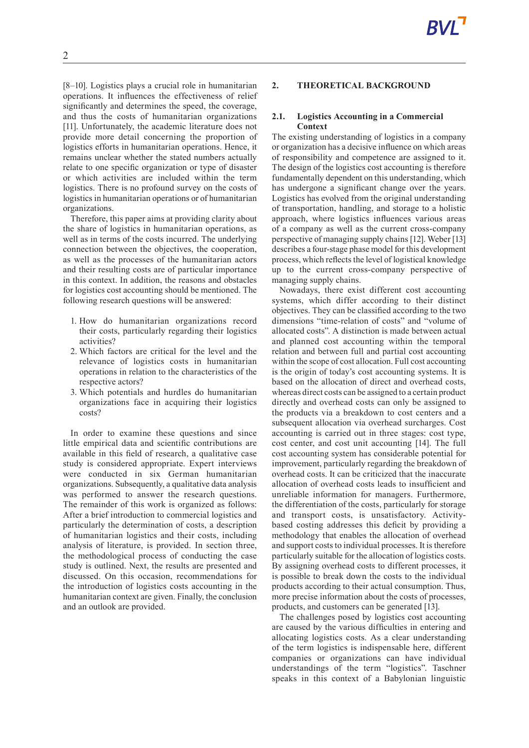[8–10]. Logistics plays a crucial role in humanitarian operations. It influences the effectiveness of relief significantly and determines the speed, the coverage, and thus the costs of humanitarian organizations [11]. Unfortunately, the academic literature does not provide more detail concerning the proportion of logistics efforts in humanitarian operations. Hence, it remains unclear whether the stated numbers actually relate to one specific organization or type of disaster or which activities are included within the term logistics. There is no profound survey on the costs of logistics in humanitarian operations or of humanitarian organizations.

Therefore, this paper aims at providing clarity about the share of logistics in humanitarian operations, as well as in terms of the costs incurred. The underlying connection between the objectives, the cooperation, as well as the processes of the humanitarian actors and their resulting costs are of particular importance in this context. In addition, the reasons and obstacles for logistics cost accounting should be mentioned. The following research questions will be answered:

- 1. How do humanitarian organizations record their costs, particularly regarding their logistics activities?
- 2. Which factors are critical for the level and the relevance of logistics costs in humanitarian operations in relation to the characteristics of the respective actors?
- 3. Which potentials and hurdles do humanitarian organizations face in acquiring their logistics costs?

In order to examine these questions and since little empirical data and scientific contributions are available in this field of research, a qualitative case study is considered appropriate. Expert interviews were conducted in six German humanitarian organizations. Subsequently, a qualitative data analysis was performed to answer the research questions. The remainder of this work is organized as follows: After a brief introduction to commercial logistics and particularly the determination of costs, a description of humanitarian logistics and their costs, including analysis of literature, is provided. In section three, the methodological process of conducting the case study is outlined. Next, the results are presented and discussed. On this occasion, recommendations for the introduction of logistics costs accounting in the humanitarian context are given. Finally, the conclusion and an outlook are provided.

# **2. THEORETICAL BACKGROUND**

### **2.1. Logistics Accounting in a Commercial Context**

The existing understanding of logistics in a company or organization has a decisive influence on which areas of responsibility and competence are assigned to it. The design of the logistics cost accounting is therefore fundamentally dependent on this understanding, which has undergone a significant change over the years. Logistics has evolved from the original understanding of transportation, handling, and storage to a holistic approach, where logistics influences various areas of a company as well as the current cross-company perspective of managing supply chains [12]. Weber [13] describes a four-stage phase model for this development process, which reflects the level of logistical knowledge up to the current cross-company perspective of managing supply chains.

Nowadays, there exist different cost accounting systems, which differ according to their distinct objectives. They can be classified according to the two dimensions "time-relation of costs" and "volume of allocated costs". A distinction is made between actual and planned cost accounting within the temporal relation and between full and partial cost accounting within the scope of cost allocation. Full cost accounting is the origin of today's cost accounting systems. It is based on the allocation of direct and overhead costs, whereas direct costs can be assigned to a certain product directly and overhead costs can only be assigned to the products via a breakdown to cost centers and a subsequent allocation via overhead surcharges. Cost accounting is carried out in three stages: cost type, cost center, and cost unit accounting [14]. The full cost accounting system has considerable potential for improvement, particularly regarding the breakdown of overhead costs. It can be criticized that the inaccurate allocation of overhead costs leads to insufficient and unreliable information for managers. Furthermore, the differentiation of the costs, particularly for storage and transport costs, is unsatisfactory. Activitybased costing addresses this deficit by providing a methodology that enables the allocation of overhead and support costs to individual processes. It is therefore particularly suitable for the allocation of logistics costs. By assigning overhead costs to different processes, it is possible to break down the costs to the individual products according to their actual consumption. Thus, more precise information about the costs of processes, products, and customers can be generated [13].

The challenges posed by logistics cost accounting are caused by the various difficulties in entering and allocating logistics costs. As a clear understanding of the term logistics is indispensable here, different companies or organizations can have individual understandings of the term "logistics". Taschner speaks in this context of a Babylonian linguistic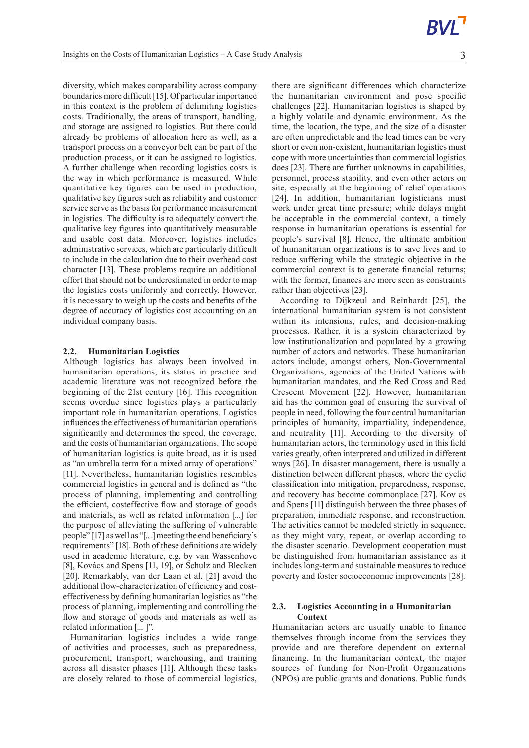diversity, which makes comparability across company boundaries more difficult [15]. Of particular importance in this context is the problem of delimiting logistics costs. Traditionally, the areas of transport, handling, and storage are assigned to logistics. But there could already be problems of allocation here as well, as a transport process on a conveyor belt can be part of the production process, or it can be assigned to logistics. A further challenge when recording logistics costs is the way in which performance is measured. While quantitative key figures can be used in production, qualitative key figures such as reliability and customer service serve as the basis for performance measurement in logistics. The difficulty is to adequately convert the qualitative key figures into quantitatively measurable and usable cost data. Moreover, logistics includes administrative services, which are particularly difficult to include in the calculation due to their overhead cost character [13]. These problems require an additional effort that should not be underestimated in order to map the logistics costs uniformly and correctly. However, it is necessary to weigh up the costs and benefits of the degree of accuracy of logistics cost accounting on an individual company basis.

### **2.2. Humanitarian Logistics**

Although logistics has always been involved in humanitarian operations, its status in practice and academic literature was not recognized before the beginning of the 21st century [16]. This recognition seems overdue since logistics plays a particularly important role in humanitarian operations. Logistics influences the effectiveness of humanitarian operations significantly and determines the speed, the coverage, and the costs of humanitarian organizations. The scope of humanitarian logistics is quite broad, as it is used as "an umbrella term for a mixed array of operations" [11]. Nevertheless, humanitarian logistics resembles commercial logistics in general and is defined as "the process of planning, implementing and controlling the efficient, costeffective flow and storage of goods and materials, as well as related information [...] for the purpose of alleviating the suffering of vulnerable people" [17] aswell as "[.. .]meeting the end beneficiary's requirements" [18]. Both of these definitions are widely used in academic literature, e.g. by van Wassenhove [8], Kovács and Spens [11, 19], or Schulz and Blecken [20]. Remarkably, van der Laan et al. [21] avoid the additional flow-characterization of efficiency and costeffectiveness by defining humanitarian logistics as "the process of planning, implementing and controlling the flow and storage of goods and materials as well as related information [... ]".

Humanitarian logistics includes a wide range of activities and processes, such as preparedness, procurement, transport, warehousing, and training across all disaster phases [11]. Although these tasks are closely related to those of commercial logistics, there are significant differences which characterize the humanitarian environment and pose specific challenges [22]. Humanitarian logistics is shaped by a highly volatile and dynamic environment. As the time, the location, the type, and the size of a disaster are often unpredictable and the lead times can be very short or even non-existent, humanitarian logistics must cope with more uncertainties than commercial logistics does [23]. There are further unknowns in capabilities, personnel, process stability, and even other actors on site, especially at the beginning of relief operations [24]. In addition, humanitarian logisticians must work under great time pressure; while delays might be acceptable in the commercial context, a timely response in humanitarian operations is essential for people's survival [8]. Hence, the ultimate ambition of humanitarian organizations is to save lives and to reduce suffering while the strategic objective in the commercial context is to generate financial returns; with the former, finances are more seen as constraints rather than objectives [23].

According to Dijkzeul and Reinhardt [25], the international humanitarian system is not consistent within its intensions, rules, and decision-making processes. Rather, it is a system characterized by low institutionalization and populated by a growing number of actors and networks. These humanitarian actors include, amongst others, Non-Governmental Organizations, agencies of the United Nations with humanitarian mandates, and the Red Cross and Red Crescent Movement [22]. However, humanitarian aid has the common goal of ensuring the survival of people in need, following the four central humanitarian principles of humanity, impartiality, independence, and neutrality [11]. According to the diversity of humanitarian actors, the terminology used in this field varies greatly, often interpreted and utilized in different ways [26]. In disaster management, there is usually a distinction between different phases, where the cyclic classification into mitigation, preparedness, response, and recovery has become commonplace [27]. Kov cs and Spens [11] distinguish between the three phases of preparation, immediate response, and reconstruction. The activities cannot be modeled strictly in sequence, as they might vary, repeat, or overlap according to the disaster scenario. Development cooperation must be distinguished from humanitarian assistance as it includes long-term and sustainable measures to reduce poverty and foster socioeconomic improvements [28].

### **2.3. Logistics Accounting in a Humanitarian Context**

Humanitarian actors are usually unable to finance themselves through income from the services they provide and are therefore dependent on external financing. In the humanitarian context, the major sources of funding for Non-Profit Organizations (NPOs) are public grants and donations. Public funds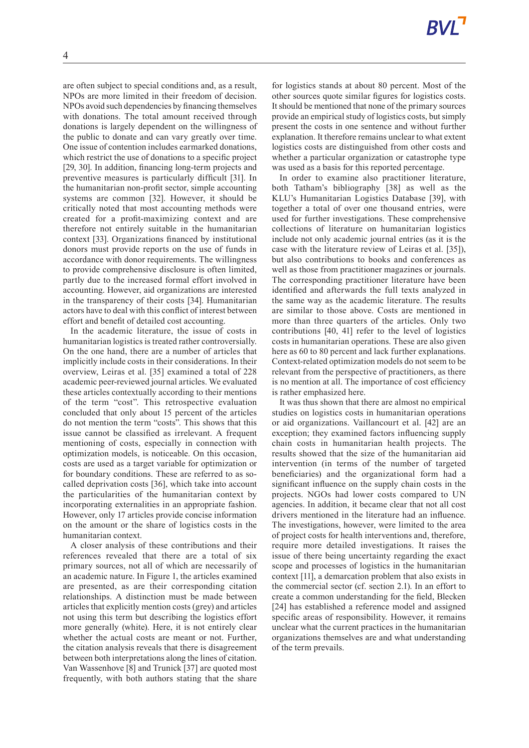are often subject to special conditions and, as a result, NPOs are more limited in their freedom of decision. NPOs avoid such dependencies by financing themselves with donations. The total amount received through donations is largely dependent on the willingness of the public to donate and can vary greatly over time. One issue of contention includes earmarked donations, which restrict the use of donations to a specific project [29, 30]. In addition, financing long-term projects and preventive measures is particularly difficult [31]. In the humanitarian non-profit sector, simple accounting systems are common [32]. However, it should be critically noted that most accounting methods were created for a profit-maximizing context and are therefore not entirely suitable in the humanitarian context [33]. Organizations financed by institutional donors must provide reports on the use of funds in accordance with donor requirements. The willingness to provide comprehensive disclosure is often limited, partly due to the increased formal effort involved in accounting. However, aid organizations are interested in the transparency of their costs [34]. Humanitarian actors have to deal with this conflict of interest between effort and benefit of detailed cost accounting.

In the academic literature, the issue of costs in humanitarian logistics is treated rather controversially. On the one hand, there are a number of articles that implicitly include costs in their considerations. In their overview, Leiras et al. [35] examined a total of 228 academic peer-reviewed journal articles. We evaluated these articles contextually according to their mentions of the term "cost". This retrospective evaluation concluded that only about 15 percent of the articles do not mention the term "costs". This shows that this issue cannot be classified as irrelevant. A frequent mentioning of costs, especially in connection with optimization models, is noticeable. On this occasion, costs are used as a target variable for optimization or for boundary conditions. These are referred to as socalled deprivation costs [36], which take into account the particularities of the humanitarian context by incorporating externalities in an appropriate fashion. However, only 17 articles provide concise information on the amount or the share of logistics costs in the humanitarian context.

A closer analysis of these contributions and their references revealed that there are a total of six primary sources, not all of which are necessarily of an academic nature. In Figure 1, the articles examined are presented, as are their corresponding citation relationships. A distinction must be made between articles that explicitly mention costs (grey) and articles not using this term but describing the logistics effort more generally (white). Here, it is not entirely clear whether the actual costs are meant or not. Further, the citation analysis reveals that there is disagreement between both interpretations along the lines of citation. Van Wassenhove [8] and Trunick [37] are quoted most frequently, with both authors stating that the share

for logistics stands at about 80 percent. Most of the other sources quote similar figures for logistics costs. It should be mentioned that none of the primary sources provide an empirical study of logistics costs, but simply present the costs in one sentence and without further explanation. It therefore remains unclear to what extent logistics costs are distinguished from other costs and whether a particular organization or catastrophe type was used as a basis for this reported percentage.

In order to examine also practitioner literature, both Tatham's bibliography [38] as well as the KLU's Humanitarian Logistics Database [39], with together a total of over one thousand entries, were used for further investigations. These comprehensive collections of literature on humanitarian logistics include not only academic journal entries (as it is the case with the literature review of Leiras et al. [35]), but also contributions to books and conferences as well as those from practitioner magazines or journals. The corresponding practitioner literature have been identified and afterwards the full texts analyzed in the same way as the academic literature. The results are similar to those above. Costs are mentioned in more than three quarters of the articles. Only two contributions [40, 41] refer to the level of logistics costs in humanitarian operations. These are also given here as 60 to 80 percent and lack further explanations. Context-related optimization models do not seem to be relevant from the perspective of practitioners, as there is no mention at all. The importance of cost efficiency is rather emphasized here.

It was thus shown that there are almost no empirical studies on logistics costs in humanitarian operations or aid organizations. Vaillancourt et al. [42] are an exception; they examined factors influencing supply chain costs in humanitarian health projects. The results showed that the size of the humanitarian aid intervention (in terms of the number of targeted beneficiaries) and the organizational form had a significant influence on the supply chain costs in the projects. NGOs had lower costs compared to UN agencies. In addition, it became clear that not all cost drivers mentioned in the literature had an influence. The investigations, however, were limited to the area of project costs for health interventions and, therefore, require more detailed investigations. It raises the issue of there being uncertainty regarding the exact scope and processes of logistics in the humanitarian context [11], a demarcation problem that also exists in the commercial sector (cf. section 2.1). In an effort to create a common understanding for the field, Blecken [24] has established a reference model and assigned specific areas of responsibility. However, it remains unclear what the current practices in the humanitarian organizations themselves are and what understanding of the term prevails.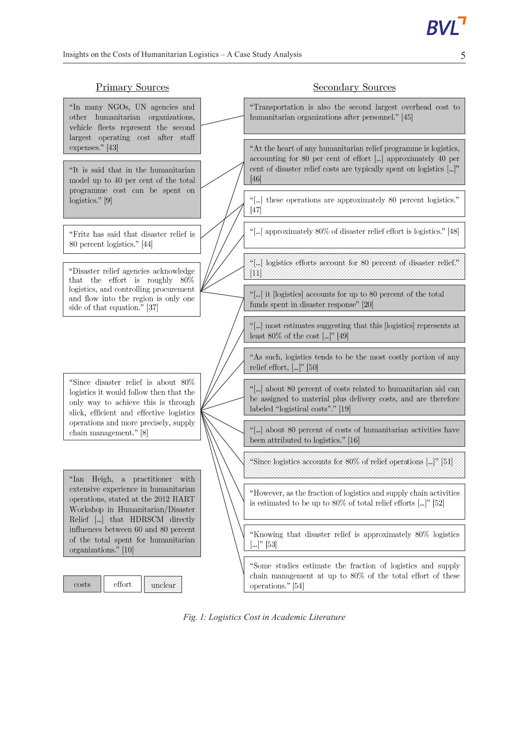#### **Primary Sources** Secondary Sources "In many NGOs, UN agencies and "Transportation is also the second largest overhead cost to other humanitarian organizations, humanitarian organizations after personnel." [45] vehicle fleets represent the second largest operating cost after staff expenses." [43] "At the heart of any humanitarian relief programme is logistics, accounting for 80 per cent of effort [...] approximately 40 per cent of disaster relief costs are typically spent on logistics [...]" "It is said that in the humanitarian model up to 40 per cent of the total  $[46]$ programme cost can be spent on "[...] these operations are approximately 80 percent logistics." logistics." $[9]$  $[47]$ "[...] approximately 80% of disaster relief effort is logistics." [48] "Fritz has said that disaster relief is 80 percent logistics." [44] "[...] logistics efforts account for 80 percent of disaster relief." "Disaster relief agencies acknowledge  $[11]$ that the effort is roughly 80% logistics, and controlling procurement "[...] it [logistics] accounts for up to 80 percent of the total and flow into the region is only one funds spent in disaster response" [20] side of that equation." [37] "[...] most estimates suggesting that this [logistics] represents at least 80% of the cost  $[\dots]$ " [49] "As such, logistics tends to be the most costly portion of any relief effort,  $[\dots]$ " [50] "Since disaster relief is about 80% "[...] about 80 percent of costs related to humanitarian aid can logistics it would follow then that the be assigned to material plus delivery costs, and are therefore only way to achieve this is through labeled "logistical costs"." [19] slick, efficient and effective logistics operations and more precisely, supply "[...] about 80 percent of costs of humanitarian activities have chain management." [8] been attributed to logistics." [16] "Since logistics accounts for 80% of relief operations [...]" [51] "Ian Heigh, a practitioner with extensive experience in humanitarian "However, as the fraction of logistics and supply chain activities operations, stated at the 2012 HART is estimated to be up to  $80\%$  of total relief efforts [...]" [52] Workshop in Humanitarian/Disaster Relief  $\left[\ldots\right]$  that HDRSCM directly influences between  $60$  and  $80$  percent "Knowing that disaster relief is approximately 80% logistics of the total spent for humanitarian  $[...]$ " [53] organizations." [10] "Some studies estimate the fraction of logistics and supply chain management at up to 80% of the total effort of these  $costs$ effort unclear operations." [54]

*Fig. 1: Logistics Cost in Academic Literature*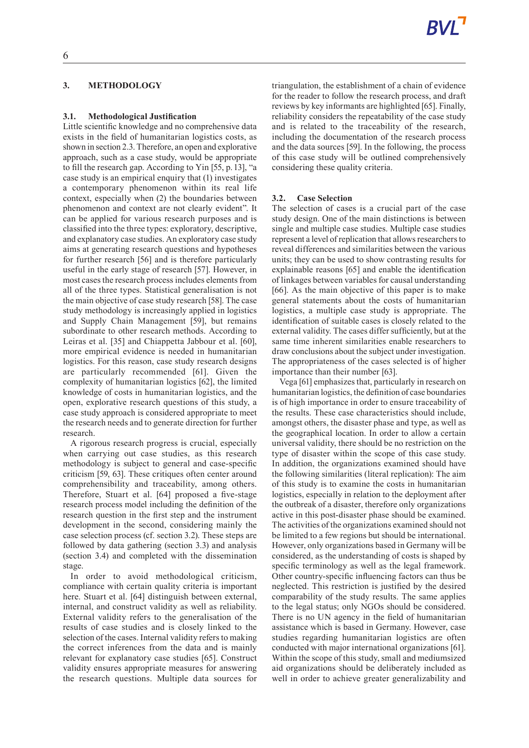# **3. METHODOLOGY**

#### **3.1. Methodological Justification**

Little scientific knowledge and no comprehensive data exists in the field of humanitarian logistics costs, as shown in section 2.3. Therefore, an open and explorative approach, such as a case study, would be appropriate to fill the research gap. According to Yin [55, p. 13], "a case study is an empirical enquiry that (1) investigates a contemporary phenomenon within its real life context, especially when (2) the boundaries between phenomenon and context are not clearly evident". It can be applied for various research purposes and is classified into the three types: exploratory, descriptive, and explanatory case studies. An exploratory case study aims at generating research questions and hypotheses for further research [56] and is therefore particularly useful in the early stage of research [57]. However, in most cases the research process includes elements from all of the three types. Statistical generalisation is not the main objective of case study research [58]. The case study methodology is increasingly applied in logistics and Supply Chain Management [59], but remains subordinate to other research methods. According to Leiras et al. [35] and Chiappetta Jabbour et al. [60], more empirical evidence is needed in humanitarian logistics. For this reason, case study research designs are particularly recommended [61]. Given the complexity of humanitarian logistics [62], the limited knowledge of costs in humanitarian logistics, and the open, explorative research questions of this study, a case study approach is considered appropriate to meet the research needs and to generate direction for further research.

A rigorous research progress is crucial, especially when carrying out case studies, as this research methodology is subject to general and case-specific criticism [59, 63]. These critiques often center around comprehensibility and traceability, among others. Therefore, Stuart et al. [64] proposed a five-stage research process model including the definition of the research question in the first step and the instrument development in the second, considering mainly the case selection process (cf. section 3.2). These steps are followed by data gathering (section 3.3) and analysis (section 3.4) and completed with the dissemination stage.

In order to avoid methodological criticism, compliance with certain quality criteria is important here. Stuart et al. [64] distinguish between external, internal, and construct validity as well as reliability. External validity refers to the generalisation of the results of case studies and is closely linked to the selection of the cases. Internal validity refers to making the correct inferences from the data and is mainly relevant for explanatory case studies [65]. Construct validity ensures appropriate measures for answering the research questions. Multiple data sources for

triangulation, the establishment of a chain of evidence for the reader to follow the research process, and draft reviews by key informants are highlighted [65]. Finally, reliability considers the repeatability of the case study and is related to the traceability of the research, including the documentation of the research process and the data sources [59]. In the following, the process of this case study will be outlined comprehensively considering these quality criteria.

#### **3.2. Case Selection**

The selection of cases is a crucial part of the case study design. One of the main distinctions is between single and multiple case studies. Multiple case studies represent a level of replication that allows researchers to reveal differences and similarities between the various units; they can be used to show contrasting results for explainable reasons [65] and enable the identification of linkages between variables for causal understanding [66]. As the main objective of this paper is to make general statements about the costs of humanitarian logistics, a multiple case study is appropriate. The identification of suitable cases is closely related to the external validity. The cases differ sufficiently, but at the same time inherent similarities enable researchers to draw conclusions about the subject under investigation. The appropriateness of the cases selected is of higher importance than their number [63].

Vega [61] emphasizes that, particularly in research on humanitarian logistics, the definition of case boundaries is of high importance in order to ensure traceability of the results. These case characteristics should include, amongst others, the disaster phase and type, as well as the geographical location. In order to allow a certain universal validity, there should be no restriction on the type of disaster within the scope of this case study. In addition, the organizations examined should have the following similarities (literal replication): The aim of this study is to examine the costs in humanitarian logistics, especially in relation to the deployment after the outbreak of a disaster, therefore only organizations active in this post-disaster phase should be examined. The activities of the organizations examined should not be limited to a few regions but should be international. However, only organizations based in Germany will be considered, as the understanding of costs is shaped by specific terminology as well as the legal framework. Other country-specific influencing factors can thus be neglected. This restriction is justified by the desired comparability of the study results. The same applies to the legal status; only NGOs should be considered. There is no UN agency in the field of humanitarian assistance which is based in Germany. However, case studies regarding humanitarian logistics are often conducted with major international organizations [61]. Within the scope of this study, small and mediumsized aid organizations should be deliberately included as well in order to achieve greater generalizability and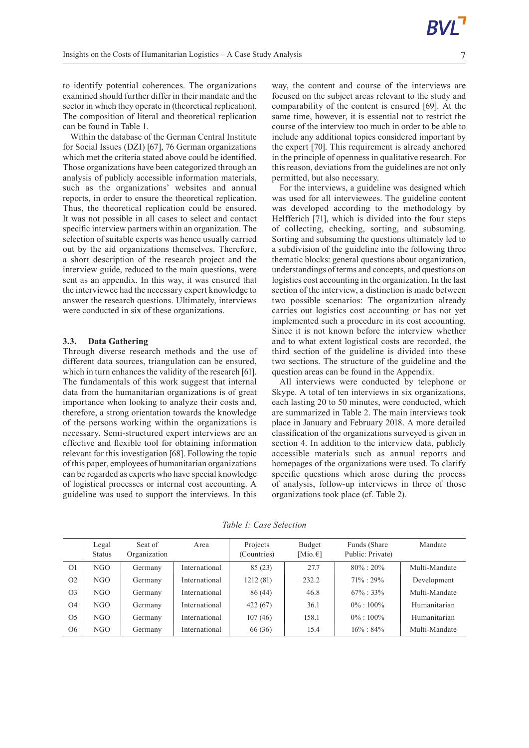to identify potential coherences. The organizations examined should further differ in their mandate and the sector in which they operate in (theoretical replication). The composition of literal and theoretical replication can be found in Table 1.

Within the database of the German Central Institute for Social Issues (DZI) [67], 76 German organizations which met the criteria stated above could be identified. Those organizations have been categorized through an analysis of publicly accessible information materials, such as the organizations' websites and annual reports, in order to ensure the theoretical replication. Thus, the theoretical replication could be ensured. It was not possible in all cases to select and contact specific interview partners within an organization. The selection of suitable experts was hence usually carried out by the aid organizations themselves. Therefore, a short description of the research project and the interview guide, reduced to the main questions, were sent as an appendix. In this way, it was ensured that the interviewee had the necessary expert knowledge to answer the research questions. Ultimately, interviews were conducted in six of these organizations.

#### **3.3. Data Gathering**

Through diverse research methods and the use of different data sources, triangulation can be ensured, which in turn enhances the validity of the research [61]. The fundamentals of this work suggest that internal data from the humanitarian organizations is of great importance when looking to analyze their costs and, therefore, a strong orientation towards the knowledge of the persons working within the organizations is necessary. Semi-structured expert interviews are an effective and flexible tool for obtaining information relevant for this investigation [68]. Following the topic of this paper, employees of humanitarian organizations can be regarded as experts who have special knowledge of logistical processes or internal cost accounting. A guideline was used to support the interviews. In this

way, the content and course of the interviews are focused on the subject areas relevant to the study and comparability of the content is ensured [69]. At the same time, however, it is essential not to restrict the course of the interview too much in order to be able to include any additional topics considered important by the expert [70]. This requirement is already anchored in the principle of openness in qualitative research.For this reason, deviations from the guidelines are not only permitted, but also necessary.

For the interviews, a guideline was designed which was used for all interviewees. The guideline content was developed according to the methodology by Helfferich [71], which is divided into the four steps of collecting, checking, sorting, and subsuming. Sorting and subsuming the questions ultimately led to a subdivision of the guideline into the following three thematic blocks: general questions about organization, understandings of terms and concepts, and questions on logistics cost accounting in the organization. In the last section of the interview, a distinction is made between two possible scenarios: The organization already carries out logistics cost accounting or has not yet implemented such a procedure in its cost accounting. Since it is not known before the interview whether and to what extent logistical costs are recorded, the third section of the guideline is divided into these two sections. The structure of the guideline and the question areas can be found in the Appendix.

All interviews were conducted by telephone or Skype. A total of ten interviews in six organizations, each lasting 20 to 50 minutes, were conducted, which are summarized in Table 2. The main interviews took place in January and February 2018. A more detailed classification of the organizations surveyed is given in section 4. In addition to the interview data, publicly accessible materials such as annual reports and homepages of the organizations were used. To clarify specific questions which arose during the process of analysis, follow-up interviews in three of those organizations took place (cf. Table 2).

*Table 1: Case Selection*

|                | Legal<br><b>Status</b> | Seat of<br>Organization | Area          | Projects<br>(Countries) | Budget<br>[Mio. $\epsilon$ ] | Funds (Share)<br>Public: Private) | Mandate       |
|----------------|------------------------|-------------------------|---------------|-------------------------|------------------------------|-----------------------------------|---------------|
| O <sub>1</sub> | NGO                    | Germany                 | International | 85(23)                  | 27.7                         | $80\% : 20\%$                     | Multi-Mandate |
| O <sub>2</sub> | NGO                    | Germany                 | International | 1212(81)                | 232.2                        | $71\% : 29\%$                     | Development   |
| O <sub>3</sub> | NGO                    | Germany                 | International | 86 (44)                 | 46.8                         | $67\% : 33\%$                     | Multi-Mandate |
| O <sub>4</sub> | NGO                    | Germany                 | International | 422(67)                 | 36.1                         | $0\% : 100\%$                     | Humanitarian  |
| O <sub>5</sub> | NGO                    | Germany                 | International | 107(46)                 | 158.1                        | $0\% : 100\%$                     | Humanitarian  |
| O <sub>6</sub> | NGO                    | Germany                 | International | 66 (36)                 | 15.4                         | $16\% : 84\%$                     | Multi-Mandate |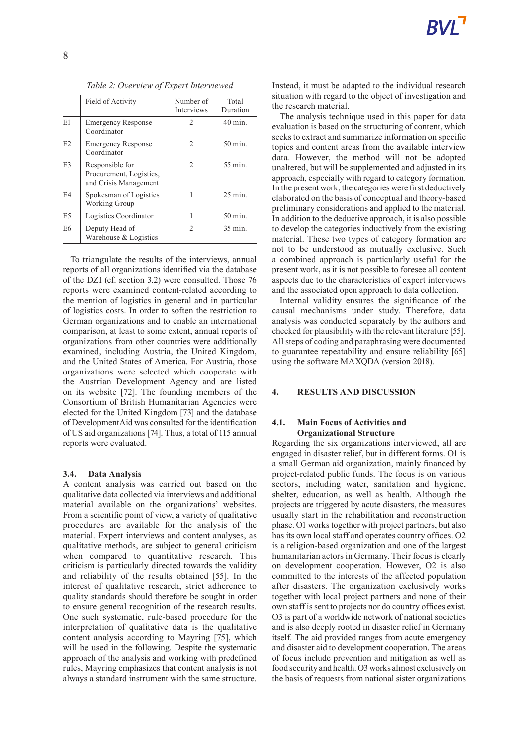|    | Field of Activity                                                   | Number of<br>Interviews | Total<br>Duration  |
|----|---------------------------------------------------------------------|-------------------------|--------------------|
| E1 | <b>Emergency Response</b><br>Coordinator                            | 2                       | $40 \text{ min}$ . |
| E2 | <b>Emergency Response</b><br>Coordinator                            | $\mathcal{L}$           | 50 min.            |
| E3 | Responsible for<br>Procurement, Logistics,<br>and Crisis Management | $\mathcal{L}$           | 55 min.            |
| E4 | Spokesman of Logistics<br>Working Group                             |                         | $25 \text{ min}$ . |

E5 | Logistics Coordinator | 1 50 min.

2 35 min.

*Table 2: Overview of Expert Interviewed*

To triangulate the results of the interviews, annual reports of all organizations identified via the database of the DZI (cf. section 3.2) were consulted. Those 76 reports were examined content-related according to the mention of logistics in general and in particular of logistics costs. In order to soften the restriction to German organizations and to enable an international comparison, at least to some extent, annual reports of organizations from other countries were additionally examined, including Austria, the United Kingdom, and the United States of America. For Austria, those organizations were selected which cooperate with the Austrian Development Agency and are listed on its website [72]. The founding members of the Consortium of British Humanitarian Agencies were elected for the United Kingdom [73] and the database of DevelopmentAid was consulted for the identification of USaid organizations [74]. Thus, a total of 115 annual reports were evaluated.

#### **3.4. Data Analysis**

E6 Deputy Head of

Warehouse & Logistics

A content analysis was carried out based on the qualitative data collected via interviews and additional material available on the organizations' websites. From a scientific point of view, a variety of qualitative procedures are available for the analysis of the material. Expert interviews and content analyses, as qualitative methods, are subject to general criticism when compared to quantitative research. This criticism is particularly directed towards the validity and reliability of the results obtained [55]. In the interest of qualitative research, strict adherence to quality standards should therefore be sought in order to ensure general recognition of the research results. One such systematic, rule-based procedure for the interpretation of qualitative data is the qualitative content analysis according to Mayring [75], which will be used in the following. Despite the systematic approach of the analysis and working with predefined rules, Mayring emphasizes that content analysis is not always a standard instrument with the same structure.

Instead, it must be adapted to the individual research situation with regard to the object of investigation and the research material.

The analysis technique used in this paper for data evaluation is based on the structuring of content, which seeks to extract and summarize information on specific topics and content areas from the available interview data. However, the method will not be adopted unaltered, but will be supplemented and adjusted in its approach, especially with regard to category formation. In the present work, the categories were first deductively elaborated on the basis of conceptual and theory-based preliminary considerations and applied to the material. In addition to the deductive approach, it is also possible to develop the categories inductively from the existing material. These two types of category formation are not to be understood as mutually exclusive. Such a combined approach is particularly useful for the present work, as it is not possible to foresee all content aspects due to the characteristics of expert interviews and the associated open approach to data collection.

Internal validity ensures the significance of the causal mechanisms under study. Therefore, data analysis was conducted separately by the authors and checked for plausibility with the relevant literature [55]. All steps of coding and paraphrasing were documented to guarantee repeatability and ensure reliability [65] using the software MAXQDA (version 2018).

#### **4. RESULTS AND DISCUSSION**

### **4.1. Main Focus of Activities and Organizational Structure**

Regarding the six organizations interviewed, all are engaged in disaster relief, but in different forms. O1 is a small German aid organization, mainly financed by project-related public funds. The focus is on various sectors, including water, sanitation and hygiene, shelter, education, as well as health. Although the projects are triggered by acute disasters, the measures usually start in the rehabilitation and reconstruction phase. O1 works together with project partners, but also has its own local staff and operates country offices. O2 is a religion-based organization and one of the largest humanitarian actors in Germany. Their focus is clearly on development cooperation. However, O2 is also committed to the interests of the affected population after disasters. The organization exclusively works together with local project partners and none of their own staff is sent to projects nor do country offices exist. O3 is part of a worldwide network of national societies and is also deeply rooted in disaster relief in Germany itself. The aid provided ranges from acute emergency and disaster aid to development cooperation. The areas of focus include prevention and mitigation as well as food security and health.O3works almost exclusively on the basis of requests from national sister organizations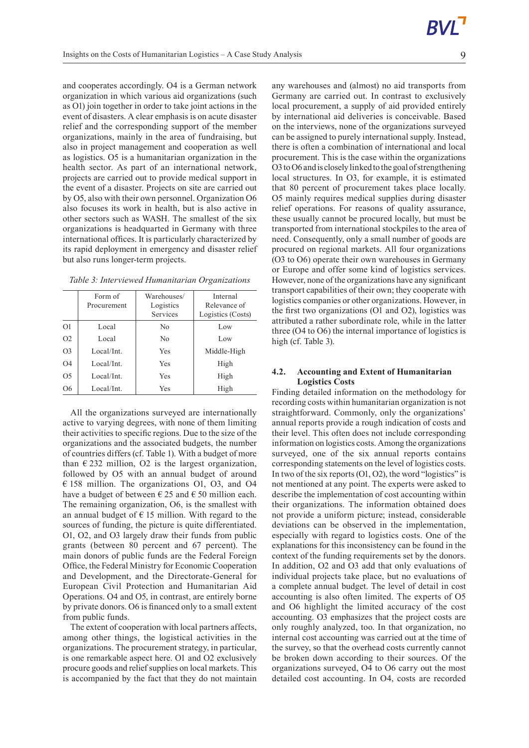and cooperates accordingly. O4 is a German network organization in which various aid organizations (such as O1) join together in order to take joint actions in the event of disasters. A clear emphasis is on acute disaster relief and the corresponding support of the member organizations, mainly in the area of fundraising, but also in project management and cooperation as well as logistics. O5 is a humanitarian organization in the health sector. As part of an international network, projects are carried out to provide medical support in the event of a disaster. Projects on site are carried out by O5, also with their own personnel. Organization O6 also focuses its work in health, but is also active in other sectors such as WASH. The smallest of the six organizations is headquarted in Germany with three international offices. It is particularly characterized by its rapid deployment in emergency and disaster relief but also runs longer-term projects.

*Table 3: Interviewed Humanitarian Organizations*

|                | Form of<br>Procurement | Warehouses/<br>Logistics<br>Services | Internal<br>Relevance of<br>Logistics (Costs) |
|----------------|------------------------|--------------------------------------|-----------------------------------------------|
| O <sub>1</sub> | Local                  | N <sub>0</sub>                       | Low                                           |
| O <sub>2</sub> | Local                  | N <sub>0</sub>                       | Low                                           |
| O <sub>3</sub> | Local/Int.             | Yes                                  | Middle-High                                   |
| O <sub>4</sub> | Local/Int.             | Yes                                  | High                                          |
| O <sub>5</sub> | Local/Int.             | Yes                                  | High                                          |
| O <sub>6</sub> | Local/Int.             | Yes                                  | High                                          |

All the organizations surveyed are internationally active to varying degrees, with none of them limiting their activities to specific regions. Due to the size of the organizations and the associated budgets, the number of countries differs (cf. Table 1). With a budget of more than  $\epsilon$  232 million, O2 is the largest organization, followed by O5 with an annual budget of around € 158 million. The organizations O1, O3, and O4 have a budget of between  $\epsilon$  25 and  $\epsilon$  50 million each. The remaining organization, O6, is the smallest with an annual budget of  $\epsilon$  15 million. With regard to the sources of funding, the picture is quite differentiated. O1, O2, and O3 largely draw their funds from public grants (between 80 percent and 67 percent). The main donors of public funds are the Federal Foreign Office, the Federal Ministry for Economic Cooperation and Development, and the Directorate-General for European Civil Protection and Humanitarian Aid Operations. O4 and O5, in contrast, are entirely borne by private donors. O6 is financed only to a small extent from public funds.

The extent of cooperation with local partners affects, among other things, the logistical activities in the organizations. The procurement strategy, in particular, is one remarkable aspect here. O1 and O2 exclusively procure goods and relief supplies on local markets. This is accompanied by the fact that they do not maintain

any warehouses and (almost) no aid transports from Germany are carried out. In contrast to exclusively local procurement, a supply of aid provided entirely by international aid deliveries is conceivable. Based on the interviews, none of the organizations surveyed can be assigned to purely international supply. Instead, there is often a combination of international and local procurement. This is the case within the organizations O3 to O6 and is closely linked to the goal of strengthening local structures. In O3, for example, it is estimated that 80 percent of procurement takes place locally. O5 mainly requires medical supplies during disaster relief operations. For reasons of quality assurance, these usually cannot be procured locally, but must be transported from international stockpiles to the area of need. Consequently, only a small number of goods are procured on regional markets. All four organizations (O3 to O6) operate their own warehouses in Germany or Europe and offer some kind of logistics services. However, none of the organizations have any significant transport capabilities of their own; they cooperate with logistics companies or other organizations. However, in the first two organizations (O1 and O2), logistics was attributed a rather subordinate role, while in the latter three (O4 to O6) the internal importance of logistics is high (cf. Table 3).

### **4.2. Accounting and Extent of Humanitarian Logistics Costs**

Finding detailed information on the methodology for recording costs within humanitarian organization is not straightforward. Commonly, only the organizations' annual reports provide a rough indication of costs and their level. This often does not include corresponding information on logistics costs. Among the organizations surveyed, one of the six annual reports contains corresponding statements on the level of logistics costs. In two of the six reports  $(01, 02)$ , the word "logistics" is not mentioned at any point. The experts were asked to describe the implementation of cost accounting within their organizations. The information obtained does not provide a uniform picture; instead, considerable deviations can be observed in the implementation, especially with regard to logistics costs. One of the explanations for this inconsistency can be found in the context of the funding requirements set by the donors. In addition, O2 and O3 add that only evaluations of individual projects take place, but no evaluations of a complete annual budget. The level of detail in cost accounting is also often limited. The experts of O5 and O6 highlight the limited accuracy of the cost accounting. O3 emphasizes that the project costs are only roughly analyzed, too. In that organization, no internal cost accounting was carried out at the time of the survey, so that the overhead costs currently cannot be broken down according to their sources. Of the organizations surveyed, O4 to O6 carry out the most detailed cost accounting. In O4, costs are recorded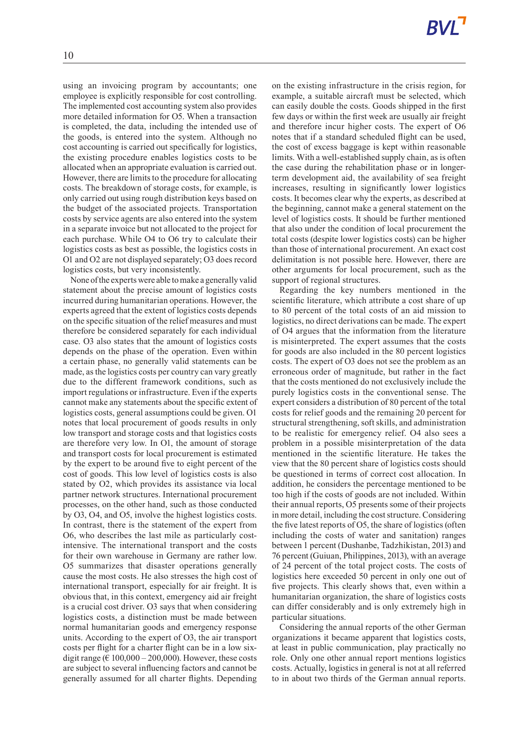using an invoicing program by accountants; one employee is explicitly responsible for cost controlling. The implemented cost accounting system also provides more detailed information for O5. When a transaction is completed, the data, including the intended use of the goods, is entered into the system. Although no cost accounting is carried out specifically for logistics, the existing procedure enables logistics costs to be allocated when an appropriate evaluation is carried out. However, there are limits to the procedure for allocating costs. The breakdown of storage costs, for example, is only carried out using rough distribution keys based on the budget of the associated projects. Transportation costs by service agents are also entered into the system in a separate invoice but not allocated to the project for each purchase. While O4 to O6 try to calculate their logistics costs as best as possible, the logistics costs in O1 and O2 are not displayed separately; O3 does record logistics costs, but very inconsistently.

None ofthe expertswere able tomake a generally valid statement about the precise amount of logistics costs incurred during humanitarian operations. However, the experts agreed that the extent of logistics costs depends on the specific situation of the relief measures and must therefore be considered separately for each individual case. O3 also states that the amount of logistics costs depends on the phase of the operation. Even within a certain phase, no generally valid statements can be made, asthe logistics costs per country can vary greatly due to the different framework conditions, such as import regulations or infrastructure. Even if the experts cannot make any statements about the specific extent of logistics costs, general assumptions could be given. O1 notes that local procurement of goods results in only low transport and storage costs and that logistics costs are therefore very low. In O1, the amount of storage and transport costs for local procurement is estimated by the expert to be around five to eight percent of the cost of goods. This low level of logistics costs is also stated by O2, which provides its assistance via local partner network structures. International procurement processes, on the other hand, such as those conducted by O3, O4, and O5, involve the highest logistics costs. In contrast, there is the statement of the expert from O6, who describes the last mile as particularly costintensive. The international transport and the costs for their own warehouse in Germany are rather low. O5 summarizes that disaster operations generally cause the most costs. He also stresses the high cost of international transport, especially for air freight. It is obvious that, in this context, emergency aid air freight is a crucial cost driver. O3 says that when considering logistics costs, a distinction must be made between normal humanitarian goods and emergency response units. According to the expert of O3, the air transport costs per flight for a charter flight can be in a low sixdigit range ( $\in$  100,000 – 200,000). However, these costs are subject to several influencing factors and cannot be generally assumed for all charter flights. Depending

on the existing infrastructure in the crisis region, for example, a suitable aircraft must be selected, which can easily double the costs. Goods shipped in the first few days or within the first week are usually air freight and therefore incur higher costs. The expert of O6 notes that if a standard scheduled flight can be used, the cost of excess baggage is kept within reasonable limits. With a well-established supply chain, as is often the case during the rehabilitation phase or in longerterm development aid, the availability of sea freight increases, resulting in significantly lower logistics costs. It becomes clear why the experts, as described at the beginning, cannot make a general statement on the level of logistics costs. It should be further mentioned that also under the condition of local procurement the total costs (despite lower logistics costs) can be higher than those of international procurement. An exact cost delimitation is not possible here. However, there are other arguments for local procurement, such as the support of regional structures.

Regarding the key numbers mentioned in the scientific literature, which attribute a cost share of up to 80 percent of the total costs of an aid mission to logistics, no direct derivations can be made. The expert of O4 argues that the information from the literature is misinterpreted. The expert assumes that the costs for goods are also included in the 80 percent logistics costs. The expert of O3 does not see the problem as an erroneous order of magnitude, but rather in the fact that the costs mentioned do not exclusively include the purely logistics costs in the conventional sense. The expert considers a distribution of 80 percent of the total costs for relief goods and the remaining 20 percent for structural strengthening, soft skills, and administration to be realistic for emergency relief. O4 also sees a problem in a possible misinterpretation of the data mentioned in the scientific literature. He takes the view that the 80 percent share of logistics costs should be questioned in terms of correct cost allocation. In addition, he considers the percentage mentioned to be too high if the costs of goods are not included. Within their annual reports, O5 presents some of their projects in more detail, including the cost structure. Considering the five latest reports of  $O5$ , the share of logistics (often including the costs of water and sanitation) ranges between 1 percent (Dushanbe, Tadzhikistan, 2013) and 76 percent (Guiuan, Philippines, 2013), with an average of 24 percent of the total project costs. The costs of logistics here exceeded 50 percent in only one out of five projects. This clearly shows that, even within a humanitarian organization, the share of logistics costs can differ considerably and is only extremely high in particular situations.

Considering the annual reports of the other German organizations it became apparent that logistics costs, at least in public communication, play practically no role. Only one other annual report mentions logistics costs. Actually, logistics in general is not at all referred to in about two thirds of the German annual reports.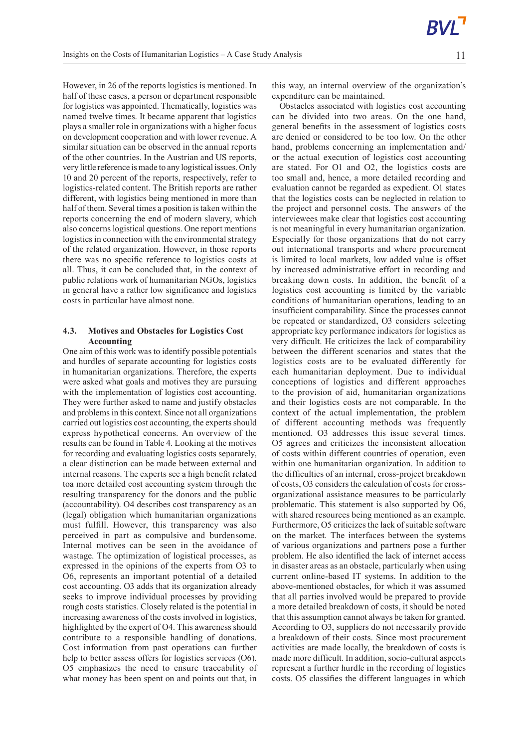However, in 26 of the reports logistics is mentioned. In half of these cases, a person or department responsible for logistics was appointed. Thematically, logistics was named twelve times. It became apparent that logistics plays a smaller role in organizations with a higher focus on development cooperation and with lower revenue. A similar situation can be observed in the annual reports of the other countries. In the Austrian and US reports, very little reference ismade to any logistical issues. Only 10 and 20 percent of the reports, respectively, refer to logistics-related content. The British reports are rather different, with logistics being mentioned in more than half of them. Several times a position is taken within the reports concerning the end of modern slavery, which also concerns logistical questions. One report mentions logistics in connection with the environmental strategy of the related organization. However, in those reports there was no specific reference to logistics costs at all. Thus, it can be concluded that, in the context of public relations work of humanitarian NGOs, logistics in general have a rather low significance and logistics costs in particular have almost none.

# **4.3. Motives and Obstacles for Logistics Cost Accounting**

One aim of this work was to identify possible potentials and hurdles of separate accounting for logistics costs in humanitarian organizations. Therefore, the experts were asked what goals and motives they are pursuing with the implementation of logistics cost accounting. They were further asked to name and justify obstacles and problems in this context. Since not all organizations carried out logistics cost accounting, the experts should express hypothetical concerns. An overview of the results can be found in Table 4. Looking at the motives for recording and evaluating logistics costs separately, a clear distinction can be made between external and internal reasons. The experts see a high benefit related toa more detailed cost accounting system through the resulting transparency for the donors and the public (accountability). O4 describes cost transparency as an (legal) obligation which humanitarian organizations must fulfill. However, this transparency was also perceived in part as compulsive and burdensome. Internal motives can be seen in the avoidance of wastage. The optimization of logistical processes, as expressed in the opinions of the experts from O3 to O6, represents an important potential of a detailed cost accounting. O3 adds that its organization already seeks to improve individual processes by providing rough costs statistics. Closely related is the potential in increasing awareness of the costs involved in logistics, highlighted by the expert of O4. This awareness should contribute to a responsible handling of donations. Cost information from past operations can further help to better assess offers for logistics services (O6). O5 emphasizes the need to ensure traceability of what money has been spent on and points out that, in

this way, an internal overview of the organization's expenditure can be maintained.

Obstacles associated with logistics cost accounting can be divided into two areas. On the one hand, general benefits in the assessment of logistics costs are denied or considered to be too low. On the other hand, problems concerning an implementation and/ or the actual execution of logistics cost accounting are stated. For O1 and O2, the logistics costs are too small and, hence, a more detailed recording and evaluation cannot be regarded as expedient. O1 states that the logistics costs can be neglected in relation to the project and personnel costs. The answers of the interviewees make clear that logistics cost accounting is not meaningful in every humanitarian organization. Especially for those organizations that do not carry out international transports and where procurement is limited to local markets, low added value is offset by increased administrative effort in recording and breaking down costs. In addition, the benefit of a logistics cost accounting is limited by the variable conditions of humanitarian operations, leading to an insufficient comparability. Since the processes cannot be repeated or standardized, O3 considers selecting appropriate key performance indicators for logistics as very difficult. He criticizes the lack of comparability between the different scenarios and states that the logistics costs are to be evaluated differently for each humanitarian deployment. Due to individual conceptions of logistics and different approaches to the provision of aid, humanitarian organizations and their logistics costs are not comparable. In the context of the actual implementation, the problem of different accounting methods was frequently mentioned. O3 addresses this issue several times. O5 agrees and criticizes the inconsistent allocation of costs within different countries of operation, even within one humanitarian organization. In addition to the difficulties of an internal, cross-project breakdown of costs, O3 considers the calculation of costsfor crossorganizational assistance measures to be particularly problematic. This statement is also supported by O6, with shared resources being mentioned as an example. Furthermore, O5 criticizes the lack of suitable software on the market. The interfaces between the systems of various organizations and partners pose a further problem. He also identified the lack of internet access in disaster areas as an obstacle, particularly when using current online-based IT systems. In addition to the above-mentioned obstacles, for which it was assumed that all parties involved would be prepared to provide a more detailed breakdown of costs, it should be noted that this assumption cannot always be taken for granted. According to O3, suppliers do not necessarily provide a breakdown of their costs. Since most procurement activities are made locally, the breakdown of costs is made more difficult. In addition, socio-cultural aspects represent a further hurdle in the recording of logistics costs. O5 classifies the different languages in which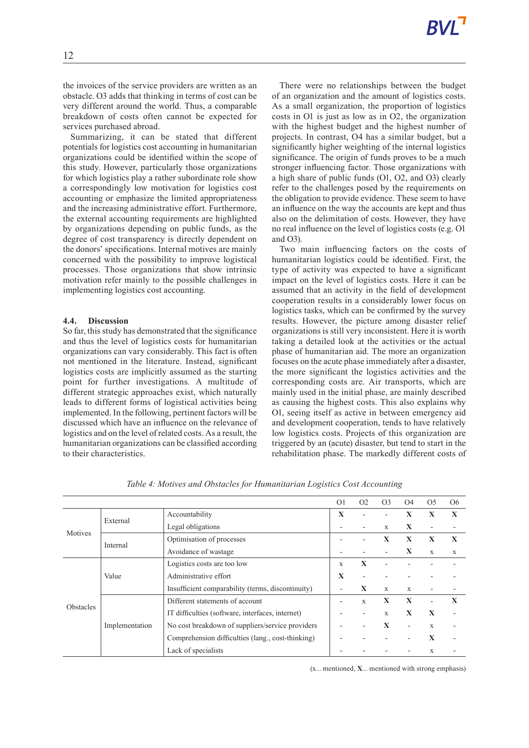the invoices of the service providers are written as an obstacle. O3 adds that thinking in terms of cost can be very different around the world. Thus, a comparable breakdown of costs often cannot be expected for services purchased abroad.

Summarizing, it can be stated that different potentials for logistics cost accounting in humanitarian organizations could be identified within the scope of this study. However, particularly those organizations for which logistics play a rather subordinate role show a correspondingly low motivation for logistics cost accounting or emphasize the limited appropriateness and the increasing administrative effort. Furthermore, the external accounting requirements are highlighted by organizations depending on public funds, as the degree of cost transparency is directly dependent on the donors' specifications. Internal motives are mainly concerned with the possibility to improve logistical processes. Those organizations that show intrinsic motivation refer mainly to the possible challenges in implementing logistics cost accounting.

### **4.4. Discussion**

So far, this study has demonstrated that the significance and thus the level of logistics costs for humanitarian organizations can vary considerably. This fact is often not mentioned in the literature. Instead, significant logistics costs are implicitly assumed as the starting point for further investigations. A multitude of different strategic approaches exist, which naturally leads to different forms of logistical activities being implemented. In the following, pertinent factors will be discussed which have an influence on the relevance of logistics and on the level of related costs. As a result, the humanitarian organizations can be classified according to their characteristics.

There were no relationships between the budget of an organization and the amount of logistics costs. As a small organization, the proportion of logistics costs in O1 is just as low as in O2, the organization with the highest budget and the highest number of projects. In contrast, O4 has a similar budget, but a significantly higher weighting of the internal logistics significance. The origin of funds proves to be a much stronger influencing factor. Those organizations with a high share of public funds (O1, O2, and O3) clearly refer to the challenges posed by the requirements on the obligation to provide evidence. These seem to have an influence on the way the accounts are kept and thus also on the delimitation of costs. However, they have no real influence on the level of logistics costs (e.g. O1 and O3).

Two main influencing factors on the costs of humanitarian logistics could be identified. First, the type of activity was expected to have a significant impact on the level of logistics costs. Here it can be assumed that an activity in the field of development cooperation results in a considerably lower focus on logistics tasks, which can be confirmed by the survey results. However, the picture among disaster relief organizations is still very inconsistent. Here it is worth taking a detailed look at the activities or the actual phase of humanitarian aid. The more an organization focuses on the acute phase immediately after a disaster, the more significant the logistics activities and the corresponding costs are. Air transports, which are mainly used in the initial phase, are mainly described as causing the highest costs. This also explains why O1, seeing itself as active in between emergency aid and development cooperation, tends to have relatively low logistics costs. Projects of this organization are triggered by an (acute) disaster, but tend to start in the rehabilitation phase. The markedly different costs of

|                  |                |                                                   | O <sub>1</sub> | O <sub>2</sub> | O <sub>3</sub> | O <sub>4</sub> | O <sub>5</sub> | O <sub>6</sub> |
|------------------|----------------|---------------------------------------------------|----------------|----------------|----------------|----------------|----------------|----------------|
| Motives          | External       | Accountability                                    | $\mathbf x$    |                |                | x              | $\mathbf x$    | $\mathbf x$    |
|                  |                | Legal obligations                                 |                |                | X              | X              | ٠              |                |
|                  | Internal       | Optimisation of processes                         |                |                | $\mathbf x$    | $\mathbf{X}$   | $\mathbf{X}$   | $\mathbf x$    |
|                  |                | Avoidance of wastage                              |                |                |                | X              | $\mathbf x$    | X              |
|                  | Value          | Logistics costs are too low                       | $\mathbf x$    | $\mathbf{X}$   |                |                |                |                |
|                  |                | Administrative effort                             | $\mathbf{X}$   |                |                |                |                |                |
|                  |                | Insufficient comparability (terms, discontinuity) |                | $\mathbf{X}$   | $\mathbf{x}$   | X              | ٠              |                |
|                  | Implementation | Different statements of account                   |                | X              | X              | $\mathbf{X}$   | ٠              | $\mathbf x$    |
| <b>Obstacles</b> |                | IT difficulties (software, interfaces, internet)  |                |                | $\mathbf{x}$   | $\mathbf{X}$   | $\mathbf x$    |                |
|                  |                | No cost breakdown of suppliers/service providers  |                |                | $\mathbf x$    | ۰              | X              |                |
|                  |                | Comprehension difficulties (lang., cost-thinking) |                |                |                |                | $\mathbf x$    | ٠              |
|                  |                | Lack of specialists                               |                |                |                |                | X              |                |

*Table 4: Motives and Obstacles for Humanitarian Logistics Cost Accounting*

(x... mentioned, **X**... mentioned with strong emphasis)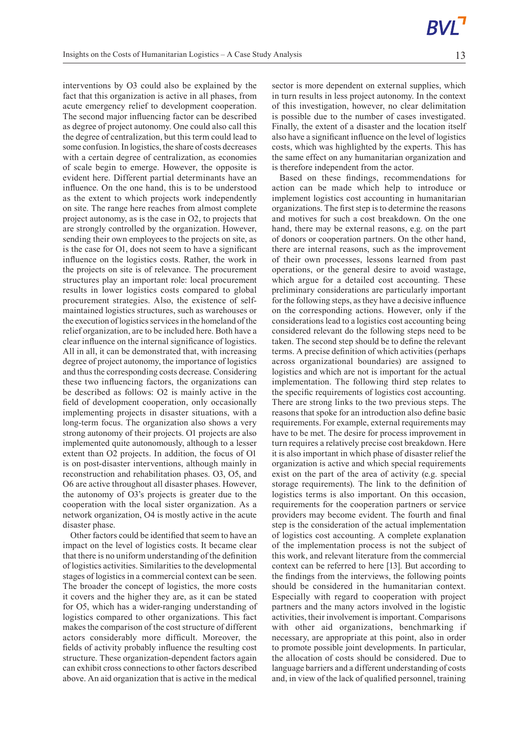interventions by O3 could also be explained by the fact that this organization is active in all phases, from acute emergency relief to development cooperation. The second major influencing factor can be described as degree of project autonomy. One could also call this the degree of centralization, but this term could lead to some confusion.In logistics, the share of costs decreases with a certain degree of centralization, as economies of scale begin to emerge. However, the opposite is evident here. Different partial determinants have an influence. On the one hand, this is to be understood as the extent to which projects work independently on site. The range here reaches from almost complete project autonomy, as is the case in O2, to projects that are strongly controlled by the organization. However, sending their own employees to the projects on site, as is the case for O1, does not seem to have a significant influence on the logistics costs. Rather, the work in the projects on site is of relevance. The procurement structures play an important role: local procurement results in lower logistics costs compared to global procurement strategies. Also, the existence of selfmaintained logistics structures, such as warehouses or the execution of logistics services in the homeland of the relief organization, are to be included here. Both have a clear influence on the internal significance of logistics. All in all, it can be demonstrated that, with increasing degree of project autonomy, the importance of logistics and thus the corresponding costs decrease. Considering these two influencing factors, the organizations can be described as follows: O2 is mainly active in the field of development cooperation, only occasionally implementing projects in disaster situations, with a long-term focus. The organization also shows a very strong autonomy of their projects. O1 projects are also implemented quite autonomously, although to a lesser extent than O2 projects. In addition, the focus of O1 is on post-disaster interventions, although mainly in reconstruction and rehabilitation phases. O3, O5, and O6 are active throughout all disaster phases. However, the autonomy of O3's projects is greater due to the cooperation with the local sister organization. As a network organization, O4 is mostly active in the acute disaster phase.

Other factors could be identified that seem to have an impact on the level of logistics costs. It became clear that there is no uniform understanding of the definition of logistics activities.Similarities to the developmental stages of logistics in a commercial context can be seen. The broader the concept of logistics, the more costs it covers and the higher they are, as it can be stated for O5, which has a wider-ranging understanding of logistics compared to other organizations. This fact makes the comparison of the cost structure of different actors considerably more difficult. Moreover, the fields of activity probably influence the resulting cost structure. These organization-dependent factors again can exhibit cross connections to other factors described above. An aid organization that is active in the medical

sector is more dependent on external supplies, which in turn results in less project autonomy. In the context of this investigation, however, no clear delimitation is possible due to the number of cases investigated. Finally, the extent of a disaster and the location itself also have a significant influence on the level of logistics costs, which was highlighted by the experts. This has the same effect on any humanitarian organization and is therefore independent from the actor.

Based on these findings, recommendations for action can be made which help to introduce or implement logistics cost accounting in humanitarian organizations. The first step is to determine the reasons and motives for such a cost breakdown. On the one hand, there may be external reasons, e.g. on the part of donors or cooperation partners. On the other hand, there are internal reasons, such as the improvement of their own processes, lessons learned from past operations, or the general desire to avoid wastage, which argue for a detailed cost accounting. These preliminary considerations are particularly important for the following steps, asthey have a decisive influence on the corresponding actions. However, only if the considerations lead to a logistics cost accounting being considered relevant do the following steps need to be taken. The second step should be to define the relevant terms. A precise definition of which activities (perhaps across organizational boundaries) are assigned to logistics and which are not is important for the actual implementation. The following third step relates to the specific requirements of logistics cost accounting. There are strong links to the two previous steps. The reasons that spoke for an introduction also define basic requirements.For example, external requirements may have to be met. The desire for process improvement in turn requires a relatively precise cost breakdown. Here it is also important in which phase of disaster relief the organization is active and which special requirements exist on the part of the area of activity (e.g. special storage requirements). The link to the definition of logistics terms is also important. On this occasion, requirements for the cooperation partners or service providers may become evident. The fourth and final step is the consideration of the actual implementation of logistics cost accounting. A complete explanation of the implementation process is not the subject of this work, and relevant literature from the commercial context can be referred to here [13]. But according to the findings from the interviews, the following points should be considered in the humanitarian context. Especially with regard to cooperation with project partners and the many actors involved in the logistic activities, their involvement is important. Comparisons with other aid organizations, benchmarking if necessary, are appropriate at this point, also in order to promote possible joint developments. In particular, the allocation of costs should be considered. Due to language barriers and a different understanding of costs and, in view of the lack of qualified personnel, training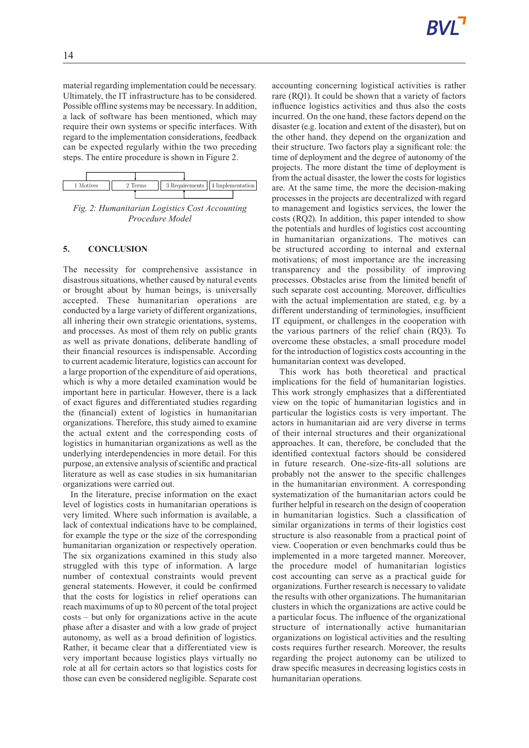material regarding implementation could be necessary. Ultimately, the IT infrastructure has to be considered. Possible offline systems may be necessary. In addition, a lack of software has been mentioned, which may require their own systems or specific interfaces. With regard to the implementation considerations, feedback can be expected regularly within the two preceding steps. The entire procedure is shown in Figure 2.



*Fig. 2: Humanitarian Logistics Cost Accounting Procedure Model*

### **5. CONCLUSION**

The necessity for comprehensive assistance in disastrous situations, whether caused by natural events or brought about by human beings, is universally accepted. These humanitarian operations are conducted by a large variety of different organizations, all inhering their own strategic orientations, systems, and processes. As most of them rely on public grants as well as private donations, deliberate handling of their financial resources is indispensable. According to current academic literature, logistics can account for a large proportion of the expenditure of aid operations, which is why a more detailed examination would be important here in particular. However, there is a lack of exact figures and differentiated studies regarding the (financial) extent of logistics in humanitarian organizations. Therefore, this study aimed to examine the actual extent and the corresponding costs of logistics in humanitarian organizations as well as the underlying interdependencies in more detail. For this purpose, an extensive analysis of scientific and practical literature as well as case studies in six humanitarian organizations were carried out.

In the literature, precise information on the exact level of logistics costs in humanitarian operations is very limited. Where such information is available, a lack of contextual indications have to be complained, for example the type or the size of the corresponding humanitarian organization or respectively operation. The six organizations examined in this study also struggled with this type of information. A large number of contextual constraints would prevent general statements. However, it could be confirmed that the costs for logistics in relief operations can reach maximums of up to 80 percent of the total project costs – but only for organizations active in the acute phase after a disaster and with a low grade of project autonomy, as well as a broad definition of logistics. Rather, it became clear that a differentiated view is very important because logistics plays virtually no role at all for certain actors so that logistics costs for those can even be considered negligible. Separate cost

accounting concerning logistical activities is rather rare (RQ1). It could be shown that a variety of factors influence logistics activities and thus also the costs incurred. On the one hand, these factors depend on the disaster (e.g. location and extent of the disaster), but on the other hand, they depend on the organization and their structure. Two factors play a significant role: the time of deployment and the degree of autonomy of the projects. The more distant the time of deployment is from the actual disaster, the lower the costs for logistics are. At the same time, the more the decision-making processes in the projects are decentralized with regard to management and logistics services, the lower the costs (RQ2). In addition, this paper intended to show the potentials and hurdles of logistics cost accounting in humanitarian organizations. The motives can be structured according to internal and external motivations; of most importance are the increasing transparency and the possibility of improving processes. Obstacles arise from the limited benefit of such separate cost accounting. Moreover, difficulties with the actual implementation are stated, e.g. by a different understanding of terminologies, insufficient IT equipment, or challenges in the cooperation with the various partners of the relief chain (RQ3). To overcome these obstacles, a small procedure model for the introduction of logistics costs accounting in the humanitarian context was developed.

This work has both theoretical and practical implications for the field of humanitarian logistics. This work strongly emphasizes that a differentiated view on the topic of humanitarian logistics and in particular the logistics costs is very important. The actors in humanitarian aid are very diverse in terms of their internal structures and their organizational approaches. It can, therefore, be concluded that the identified contextual factors should be considered in future research. One-size-fits-all solutions are probably not the answer to the specific challenges in the humanitarian environment. A corresponding systematization of the humanitarian actors could be further helpful in research on the design of cooperation in humanitarian logistics. Such a classification of similar organizations in terms of their logistics cost structure is also reasonable from a practical point of view. Cooperation or even benchmarks could thus be implemented in a more targeted manner. Moreover, the procedure model of humanitarian logistics cost accounting can serve as a practical guide for organizations.Further research is necessary to validate the results with other organizations. The humanitarian clusters in which the organizations are active could be a particular focus. The influence of the organizational structure of internationally active humanitarian organizations on logistical activities and the resulting costs requires further research. Moreover, the results regarding the project autonomy can be utilized to draw specific measures in decreasing logistics costs in humanitarian operations.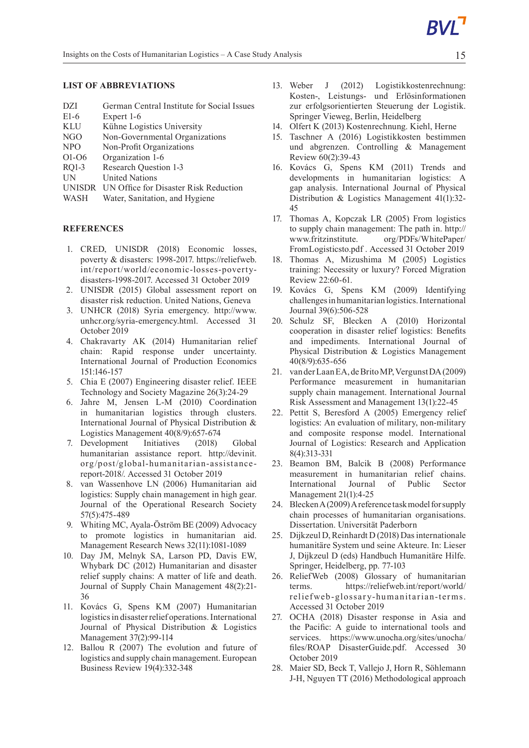# **LIST OF ABBREVIATIONS**

- DZI German Central Institute for Social Issues E1-6 Expert 1-6 KLU Kühne Logistics University
- NGO Non-Governmental Organizations
- NPO Non-Profit Organizations
- O1-O6 Organization 1-6
- RQ1-3 Research Question 1-3
- UN United Nations
- UNISDR UN Office for Disaster Risk Reduction
- WASH Water, Sanitation, and Hygiene

### **REFERENCES**

- 1. CRED, UNISDR (2018) Economic losses, poverty & disasters: 1998-2017. https://reliefweb. int/report/world/economic-losses-povertydisasters-1998-2017. Accessed 31 October 2019
- 2. UNISDR (2015) Global assessment report on disaster risk reduction. United Nations, Geneva
- 3. UNHCR (2018) Syria emergency. http://www. unhcr.org/syria-emergency.html. Accessed 31 October 2019
- 4. Chakravarty AK (2014) Humanitarian relief chain: Rapid response under uncertainty. International Journal of Production Economics 151:146-157
- 5. Chia E (2007) Engineering disaster relief. IEEE Technology and Society Magazine 26(3):24-29
- 6. Jahre M, Jensen L-M (2010) Coordination in humanitarian logistics through clusters. International Journal of Physical Distribution & Logistics Management 40(8/9):657-674
- 7. Development Initiatives (2018) Global humanitarian assistance report. http://devinit. org/post/global-humanitarian-assistancereport-2018/. Accessed 31 October 2019
- 8. van Wassenhove LN (2006) Humanitarian aid logistics: Supply chain management in high gear. Journal of the Operational Research Society 57(5):475-489
- 9. Whiting MC, Ayala-Öström BE (2009) Advocacy to promote logistics in humanitarian aid. Management Research News 32(11):1081-1089
- 10. Day JM, Melnyk SA, Larson PD, Davis EW, Whybark DC (2012) Humanitarian and disaster relief supply chains: A matter of life and death. Journal of Supply Chain Management 48(2):21- 36
- 11. Kovács G, Spens KM (2007) Humanitarian logistics in disaster relief operations. International Journal of Physical Distribution & Logistics Management 37(2):99-114
- 12. Ballou R (2007) The evolution and future of logistics and supply chain management. European Business Review 19(4):332-348
- 13. Weber J (2012) Logistikkostenrechnung: Kosten-, Leistungs- und Erlösinformationen zur erfolgsorientierten Steuerung der Logistik. Springer Vieweg, Berlin, Heidelberg
- 14. Olfert K (2013) Kostenrechnung. Kiehl, Herne
- 15. Taschner A (2016) Logistikkosten bestimmen und abgrenzen. Controlling & Management Review 60(2):39-43
- 16. Kovács G, Spens KM (2011) Trends and developments in humanitarian logistics: A gap analysis. International Journal of Physical Distribution & Logistics Management 41(1):32- 45
- 17. Thomas A, Kopczak LR (2005) From logistics to supply chain management: The path in. http:// www.fritzinstitute. org/PDFs/WhitePaper/ FromLogisticsto.pdf . Accessed 31 October 2019
- 18. Thomas A, Mizushima M (2005) Logistics training: Necessity or luxury? Forced Migration Review 22:60-61.
- 19. Kovács G, Spens KM (2009) Identifying challengesin humanitarian logistics.International Journal 39(6):506-528
- 20. Schulz SF, Blecken A (2010) Horizontal cooperation in disaster relief logistics: Benefits and impediments. International Journal of Physical Distribution & Logistics Management 40(8/9):635-656
- 21. vanderLaanEA,deBritoMP,VergunstDA(2009) Performance measurement in humanitarian supply chain management. International Journal Risk Assessment and Management 13(1):22-45
- 22. Pettit S, Beresford A (2005) Emergency relief logistics: An evaluation of military, non-military and composite response model. International Journal of Logistics: Research and Application 8(4):313-331
- 23. Beamon BM, Balcik B (2008) Performance measurement in humanitarian relief chains. International Journal of Public Sector Management 21(1):4-25
- 24. Blecken A (2009) A reference task model for supply chain processes of humanitarian organisations. Dissertation. Universität Paderborn
- 25. Dijkzeul D,Reinhardt D (2018) Dasinternationale humanitäre System und seine Akteure. In: Lieser J, Dijkzeul D (eds) Handbuch Humanitäre Hilfe. Springer, Heidelberg, pp. 77-103
- 26. ReliefWeb (2008) Glossary of humanitarian terms. https://reliefweb.int/report/world/ reliefweb-glossary-humanitarian-terms. Accessed 31 October 2019
- 27. OCHA (2018) Disaster response in Asia and the Pacific: A guide to international tools and services. https://www.unocha.org/sites/unocha/ files/ROAP DisasterGuide.pdf. Accessed 30 October 2019
- 28. Maier SD, Beck T, Vallejo J, Horn R, Söhlemann J-H, Nguyen TT (2016) Methodological approach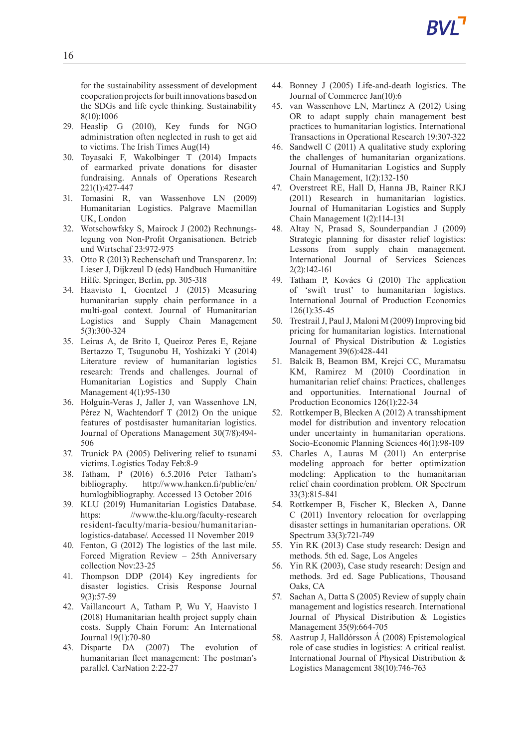for the sustainability assessment of development cooperation projects for built innovations based on the SDGs and life cycle thinking. Sustainability 8(10):1006

- 29. Heaslip G (2010), Key funds for NGO administration often neglected in rush to get aid to victims. The Irish Times Aug(14)
- 30. Toyasaki F, Wakolbinger T (2014) Impacts of earmarked private donations for disaster fundraising. Annals of Operations Research 221(1):427-447
- 31. Tomasini R, van Wassenhove LN (2009) Humanitarian Logistics. Palgrave Macmillan UK, London
- 32. Wotschowfsky S, Mairock J (2002) Rechnungslegung von Non-Profit Organisationen. Betrieb und Wirtschaf 23:972-975
- 33. Otto R (2013) Rechenschaft und Transparenz. In: Lieser J, Dijkzeul D (eds) Handbuch Humanitäre Hilfe. Springer, Berlin, pp. 305-318
- 34. Haavisto I, Goentzel J (2015) Measuring humanitarian supply chain performance in a multi-goal context. Journal of Humanitarian Logistics and Supply Chain Management 5(3):300-324
- 35. Leiras A, de Brito I, Queiroz Peres E, Rejane Bertazzo T, Tsugunobu H, Yoshizaki Y (2014) Literature review of humanitarian logistics research: Trends and challenges. Journal of Humanitarian Logistics and Supply Chain Management 4(1):95-130
- 36. Holguín-Veras J, Jaller J, van Wassenhove LN, Pérez N, Wachtendorf T (2012) On the unique features of postdisaster humanitarian logistics. Journal of Operations Management 30(7/8):494- 506
- 37. Trunick PA (2005) Delivering relief to tsunami victims. Logistics Today Feb:8-9
- 38. Tatham, P (2016) 6.5.2016 Peter Tatham's bibliography. http://www.hanken.fi/public/en/ humlogbibliography. Accessed 13 October 2016
- 39. KLU (2019) Humanitarian Logistics Database. https: //www.the-klu.org/faculty-research resident-faculty/maria-besiou/humanitarianlogistics-database/. Accessed 11 November 2019
- 40. Fenton, G (2012) The logistics of the last mile. Forced Migration Review – 25th Anniversary collection Nov:23-25
- 41. Thompson DDP (2014) Key ingredients for disaster logistics. Crisis Response Journal 9(3):57-59
- 42. Vaillancourt A, Tatham P, Wu Y, Haavisto I (2018) Humanitarian health project supply chain costs. Supply Chain Forum: An International Journal 19(1):70-80
- 43. Disparte DA (2007) The evolution of humanitarian fleet management: The postman's parallel. CarNation 2:22-27
- 44. Bonney J (2005) Life-and-death logistics. The Journal of Commerce Jan(10):6
- 45. van Wassenhove LN, Martinez A (2012) Using OR to adapt supply chain management best practices to humanitarian logistics. International Transactions in Operational Research 19:307-322
- 46. Sandwell C (2011) A qualitative study exploring the challenges of humanitarian organizations. Journal of Humanitarian Logistics and Supply Chain Management, 1(2):132-150
- 47. Overstreet RE, Hall D, Hanna JB, Rainer RKJ (2011) Research in humanitarian logistics. Journal of Humanitarian Logistics and Supply Chain Management 1(2):114-131
- 48. Altay N, Prasad S, Sounderpandian J (2009) Strategic planning for disaster relief logistics: Lessons from supply chain management. International Journal of Services Sciences 2(2):142-161
- 49. Tatham P, Kovács G (2010) The application of 'swift trust' to humanitarian logistics. International Journal of Production Economics 126(1):35-45
- 50. TrestrailJ,PaulJ, Maloni M (2009) Improving bid pricing for humanitarian logistics. International Journal of Physical Distribution & Logistics Management 39(6):428-441
- 51. Balcik B, Beamon BM, Krejci CC, Muramatsu KM, Ramirez M (2010) Coordination in humanitarian relief chains: Practices, challenges and opportunities. International Journal of Production Economics 126(1):22-34
- 52. Rottkemper B, Blecken A (2012) A transshipment model for distribution and inventory relocation under uncertainty in humanitarian operations. Socio-Economic Planning Sciences 46(1):98-109
- 53. Charles A, Lauras M (2011) An enterprise modeling approach for better optimization modeling: Application to the humanitarian relief chain coordination problem. OR Spectrum 33(3):815-841
- 54. Rottkemper B, Fischer K, Blecken A, Danne C (2011) Inventory relocation for overlapping disaster settings in humanitarian operations. OR Spectrum 33(3):721-749
- 55. Yin RK (2013) Case study research: Design and methods. 5th ed. Sage, Los Angeles
- 56. Yin RK (2003), Case study research: Design and methods. 3rd ed. Sage Publications, Thousand Oaks, CA
- 57. Sachan A, Datta S (2005) Review of supply chain management and logistics research. International Journal of Physical Distribution & Logistics Management 35(9):664-705
- 58. Aastrup J, Halldórsson Á (2008) Epistemological role of case studies in logistics: A critical realist. International Journal of Physical Distribution & Logistics Management 38(10):746-763